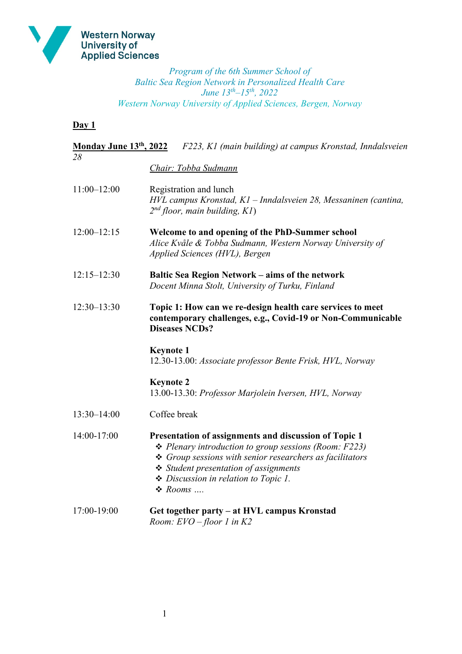

*Program of the 6th Summer School of Baltic Sea Region Network in Personalized Health Care June 13th‒15th, 2022 Western Norway University of Applied Sciences, Bergen, Norway*

**Day 1**

| Monday June 13th, 2022 | F223, K1 (main building) at campus Kronstad, Inndalsveien                                                                                                                                                                                                                                               |
|------------------------|---------------------------------------------------------------------------------------------------------------------------------------------------------------------------------------------------------------------------------------------------------------------------------------------------------|
| 28                     | Chair: Tobba Sudmann                                                                                                                                                                                                                                                                                    |
|                        |                                                                                                                                                                                                                                                                                                         |
| $11:00 - 12:00$        | Registration and lunch<br>HVL campus Kronstad, K1 - Inndalsveien 28, Messaninen (cantina,<br>$2nd$ floor, main building, K1)                                                                                                                                                                            |
| $12:00 - 12:15$        | Welcome to and opening of the PhD-Summer school<br>Alice Kvåle & Tobba Sudmann, Western Norway University of<br>Applied Sciences (HVL), Bergen                                                                                                                                                          |
| $12:15 - 12:30$        | <b>Baltic Sea Region Network – aims of the network</b><br>Docent Minna Stolt, University of Turku, Finland                                                                                                                                                                                              |
| $12:30-13:30$          | Topic 1: How can we re-design health care services to meet<br>contemporary challenges, e.g., Covid-19 or Non-Communicable<br><b>Diseases NCDs?</b>                                                                                                                                                      |
|                        | <b>Keynote 1</b><br>12.30-13.00: Associate professor Bente Frisk, HVL, Norway                                                                                                                                                                                                                           |
|                        | <b>Keynote 2</b><br>13.00-13.30: Professor Marjolein Iversen, HVL, Norway                                                                                                                                                                                                                               |
| $13:30 - 14:00$        | Coffee break                                                                                                                                                                                                                                                                                            |
| 14:00-17:00            | Presentation of assignments and discussion of Topic 1<br>$\triangle$ Plenary introduction to group sessions (Room: F223)<br>$\div$ Group sessions with senior researchers as facilitators<br>Student presentation of assignments<br>$\triangle$ Discussion in relation to Topic 1.<br>$\triangle$ Rooms |
| 17:00-19:00            | Get together party – at HVL campus Kronstad<br>Room: $EVO$ -floor 1 in K2                                                                                                                                                                                                                               |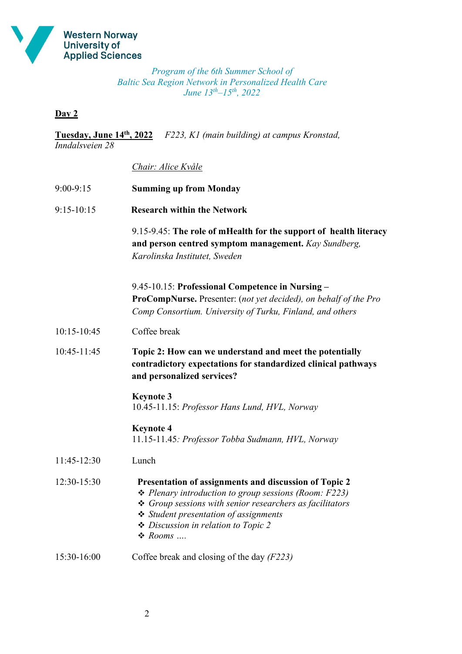

*Program of the 6th Summer School of Baltic Sea Region Network in Personalized Health Care June 13th‒15th, 2022* 

## **Day 2**

**Tuesday, June 14th, 2022** *F223, K1 (main building) at campus Kronstad, Inndalsveien 28*

## *Chair: Alice Kvåle*

| $9:00-9:15$    | <b>Summing up from Monday</b>                                                                                                                                                                                                                                                                |
|----------------|----------------------------------------------------------------------------------------------------------------------------------------------------------------------------------------------------------------------------------------------------------------------------------------------|
| $9:15 - 10:15$ | <b>Research within the Network</b>                                                                                                                                                                                                                                                           |
|                | 9.15-9.45: The role of mHealth for the support of health literacy<br>and person centred symptom management. Kay Sundberg,<br>Karolinska Institutet, Sweden                                                                                                                                   |
|                | 9.45-10.15: Professional Competence in Nursing -<br><b>ProCompNurse.</b> Presenter: (not yet decided), on behalf of the Pro<br>Comp Consortium. University of Turku, Finland, and others                                                                                                     |
| 10:15-10:45    | Coffee break                                                                                                                                                                                                                                                                                 |
| 10:45-11:45    | Topic 2: How can we understand and meet the potentially<br>contradictory expectations for standardized clinical pathways<br>and personalized services?                                                                                                                                       |
|                | <b>Keynote 3</b><br>10.45-11.15: Professor Hans Lund, HVL, Norway                                                                                                                                                                                                                            |
|                | <b>Keynote 4</b><br>11.15-11.45: Professor Tobba Sudmann, HVL, Norway                                                                                                                                                                                                                        |
| 11:45-12:30    | Lunch                                                                                                                                                                                                                                                                                        |
| 12:30-15:30    | Presentation of assignments and discussion of Topic 2<br>$\triangle$ Plenary introduction to group sessions (Room: F223)<br>$\div$ Group sessions with senior researchers as facilitators<br>❖ Student presentation of assignments<br>Discussion in relation to Topic 2<br>$\triangle$ Rooms |
| 15:30-16:00    | Coffee break and closing of the day $(F223)$                                                                                                                                                                                                                                                 |